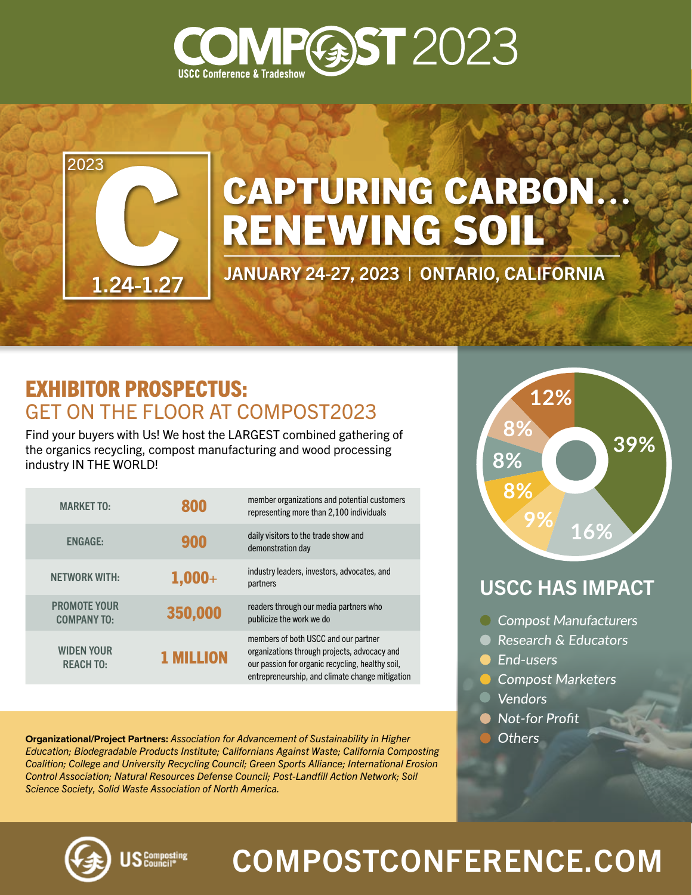



# **CAPTURING CARBON... RENEWING SOIL**

JANUARY 24-27, 2023 | ONTARIO, CALIFORNIA

### EXHIBITOR PROSPECTUS: GET ON THE FLOOR AT COMPOST2023

Find your buyers with Us! We host the LARGEST combined gathering of the organics recycling, compost manufacturing and wood processing industry IN THE WORLD!

| <b>MARKET TO:</b>                         | 800            | member organizations and potential customers<br>representing more than 2.100 individuals                                                                                                    |
|-------------------------------------------|----------------|---------------------------------------------------------------------------------------------------------------------------------------------------------------------------------------------|
| <b>ENGAGE:</b>                            | 900            | daily visitors to the trade show and<br>demonstration day                                                                                                                                   |
| <b>NETWORK WITH:</b>                      | $1,000+$       | industry leaders, investors, advocates, and<br>partners                                                                                                                                     |
| <b>PROMOTE YOUR</b><br><b>COMPANY TO:</b> | 350,000        | readers through our media partners who<br>publicize the work we do                                                                                                                          |
| <b>WIDEN YOUR</b><br><b>REACH TO:</b>     | <b>MILLION</b> | members of both USCC and our partner<br>organizations through projects, advocacy and<br>our passion for organic recycling, healthy soil,<br>entrepreneurship, and climate change mitigation |

**Organizational/Project Partners:** *Association for Advancement of Sustainability in Higher Education; Biodegradable Products Institute; Californians Against Waste; California Composting Coalition; College and University Recycling Council; Green Sports Alliance; International Erosion Control Association; Natural Resources Defense Council; Post-Landfill Action Network; Soil Science Society, Solid Waste Association of North America.*



### USCC HAS IMPACT

- C Compost Manufacturers
- Research & Educators
- **C** End-users
- Compost Marketers
- **Vendors**
- **Not-for Profit**
- **Others**



 $S_{\text{Composing}}^{\text{Comparing}}$ 

## [COMPOSTCONFERENCE.COM](https://compostconference.com/)